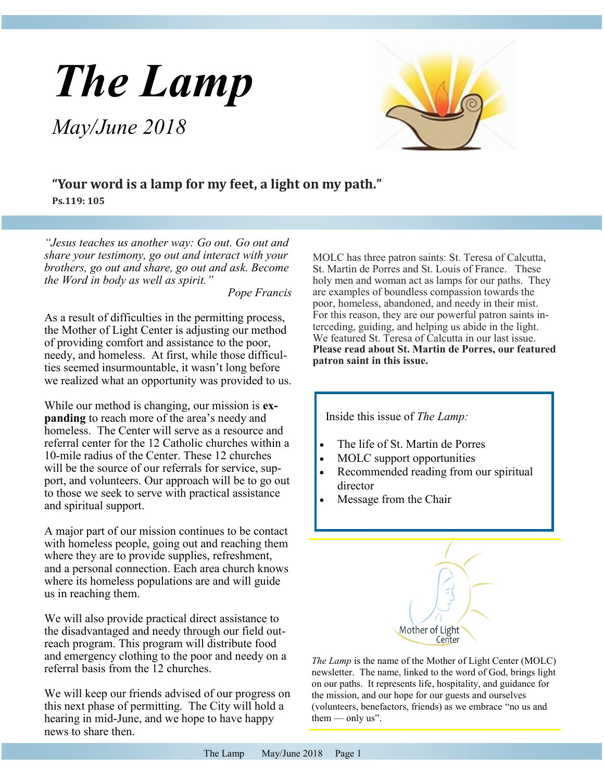# *The Lamp*

*May/June 2018*



## **"Your word is a lamp for my feet, a light on my path." Ps.119: 105**

*"Jesus teaches us another way: Go out. Go out and share your testimony, go out and interact with your brothers, go out and share, go out and ask. Become the Word in body as well as spirit."* 

*Pope Francis*

As a result of difficulties in the permitting process, the Mother of Light Center is adjusting our method of providing comfort and assistance to the poor, needy, and homeless. At first, while those difficulties seemed insurmountable, it wasn't long before we realized what an opportunity was provided to us.

While our method is changing, our mission is **expanding** to reach more of the area's needy and homeless. The Center will serve as a resource and referral center for the 12 Catholic churches within a 10-mile radius of the Center. These 12 churches will be the source of our referrals for service, support, and volunteers. Our approach will be to go out to those we seek to serve with practical assistance and spiritual support.

A major part of our mission continues to be contact with homeless people, going out and reaching them where they are to provide supplies, refreshment, and a personal connection. Each area church knows where its homeless populations are and will guide us in reaching them.

We will also provide practical direct assistance to the disadvantaged and needy through our field outreach program. This program will distribute food and emergency clothing to the poor and needy on a referral basis from the 12 churches.

We will keep our friends advised of our progress on this next phase of permitting. The City will hold a hearing in mid-June, and we hope to have happy news to share then.

MOLC has three patron saints: St. Teresa of Calcutta, St. Martin de Porres and St. Louis of France. These holy men and woman act as lamps for our paths. They are examples of boundless compassion towards the poor, homeless, abandoned, and needy in their mist. For this reason, they are our powerful patron saints interceding, guiding, and helping us abide in the light. We featured St. Teresa of Calcutta in our last issue. **Please read about St. Martin de Porres, our featured patron saint in this issue.**





*The Lamp* is the name of the Mother of Light Center (MOLC) newsletter. The name, linked to the word of God, brings light on our paths. It represents life, hospitality, and guidance for the mission, and our hope for our guests and ourselves (volunteers, benefactors, friends) as we embrace "no us and them  $-$  only us".

Center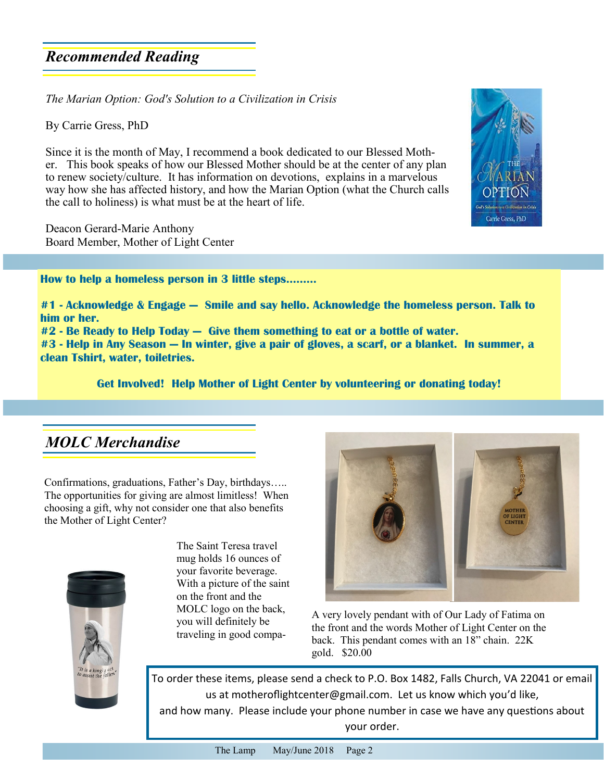## *Recommended Reading*

*The Marian Option: God's Solution to a Civilization in Crisis*

By Carrie Gress, PhD

Since it is the month of May, I recommend a book dedicated to our Blessed Mother. This book speaks of how our Blessed Mother should be at the center of any plan to renew society/culture. It has information on devotions, explains in a marvelous way how she has affected history, and how the Marian Option (what the Church calls the call to holiness) is what must be at the heart of life.

Deacon Gerard-Marie Anthony Board Member, Mother of Light Center

**How to help a homeless person in 3 little steps……...**

**#1 - Acknowledge & Engage — Smile and say hello. Acknowledge the homeless person. Talk to him or her.**

**#2 - Be Ready to Help Today — Give them something to eat or a bottle of water.**

**#3 - Help in Any Season — In winter, give a pair of gloves, a scarf, or a blanket. In summer, a clean Tshirt, water, toiletries.**

**Get Involved! Help Mother of Light Center by volunteering or donating today!**

## *MOLC Merchandise*

Confirmations, graduations, Father's Day, birthdays….. The opportunities for giving are almost limitless! When choosing a gift, why not consider one that also benefits the Mother of Light Center?



The Saint Teresa travel mug holds 16 ounces of your favorite beverage. With a picture of the saint on the front and the MOLC logo on the back, you will definitely be traveling in good compa-



A very lovely pendant with of Our Lady of Fatima on the front and the words Mother of Light Center on the back. This pendant comes with an 18" chain. 22K gold. \$20.00

To order these items, please send a check to P.O. Box 1482, Falls Church, VA 22041 or email us at motherofightcenter@gmail.com. Let us know which you'd like, and how many. Please include your phone number in case we have any questions about your order.

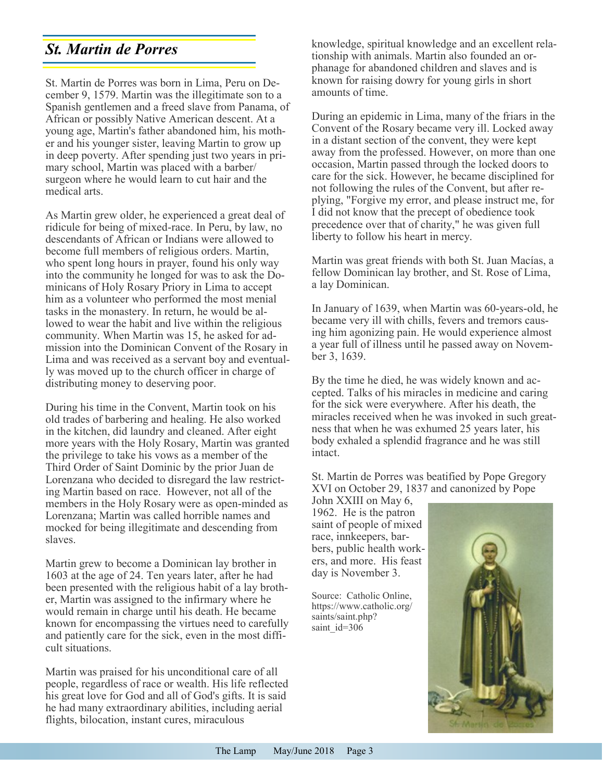# *St. Martin de Porres*

St. Martin de Porres was born in Lima, Peru on December 9, 1579. Martin was the illegitimate son to a Spanish gentlemen and a freed slave from Panama, of African or possibly Native American descent. At a young age, Martin's father abandoned him, his mother and his younger sister, leaving Martin to grow up in deep poverty. After spending just two years in primary school, Martin was placed with a barber/ surgeon where he would learn to cut hair and the medical arts.

As Martin grew older, he experienced a great deal of ridicule for being of mixed-race. In Peru, by law, no descendants of African or Indians were allowed to become full members of religious orders. Martin, who spent long hours in prayer, found his only way into the community he longed for was to ask the Dominicans of Holy Rosary Priory in Lima to accept him as a volunteer who performed the most menial tasks in the monastery. In return, he would be allowed to wear the habit and live within the religious community. When Martin was 15, he asked for admission into the Dominican Convent of the Rosary in Lima and was received as a servant boy and eventually was moved up to the church officer in charge of distributing money to deserving poor.

During his time in the Convent, Martin took on his old trades of barbering and healing. He also worked in the kitchen, did laundry and cleaned. After eight more years with the Holy Rosary, Martin was granted the privilege to take his vows as a member of the Third Order of Saint Dominic by the prior Juan de Lorenzana who decided to disregard the law restricting Martin based on race. However, not all of the members in the Holy Rosary were as open-minded as Lorenzana; Martin was called horrible names and mocked for being illegitimate and descending from slaves.

Martin grew to become a Dominican lay brother in 1603 at the age of 24. Ten years later, after he had been presented with the religious habit of a lay brother, Martin was assigned to the infirmary where he would remain in charge until his death. He became known for encompassing the virtues need to carefully and patiently care for the sick, even in the most difficult situations.

Martin was praised for his unconditional care of all people, regardless of race or wealth. His life reflected his great love for God and all of God's gifts. It is said he had many extraordinary abilities, including aerial flights, bilocation, instant cures, miraculous

knowledge, spiritual knowledge and an excellent relationship with animals. Martin also founded an orphanage for abandoned children and slaves and is known for raising dowry for young girls in short amounts of time.

During an epidemic in Lima, many of the friars in the Convent of the Rosary became very ill. Locked away in a distant section of the convent, they were kept away from the professed. However, on more than one occasion, Martin passed through the locked doors to care for the sick. However, he became disciplined for not following the rules of the Convent, but after replying, "Forgive my error, and please instruct me, for I did not know that the precept of obedience took precedence over that of charity," he was given full liberty to follow his heart in mercy.

Martin was great friends with both St. Juan Macías, a fellow Dominican lay brother, and St. Rose of Lima, a lay Dominican.

In January of 1639, when Martin was 60-years-old, he became very ill with chills, fevers and tremors causing him agonizing pain. He would experience almost a year full of illness until he passed away on November 3, 1639.

By the time he died, he was widely known and accepted. Talks of his miracles in medicine and caring for the sick were everywhere. After his death, the miracles received when he was invoked in such greatness that when he was exhumed 25 years later, his body exhaled a splendid fragrance and he was still intact.

St. Martin de Porres was beatified by Pope Gregory XVI on October 29, 1837 and canonized by Pope

John XXIII on May 6, 1962. He is the patron saint of people of mixed race, innkeepers, barbers, public health workers, and more. His feast day is November 3.

Source: Catholic Online, https://www.catholic.org/ saints/saint.php? saint id=306